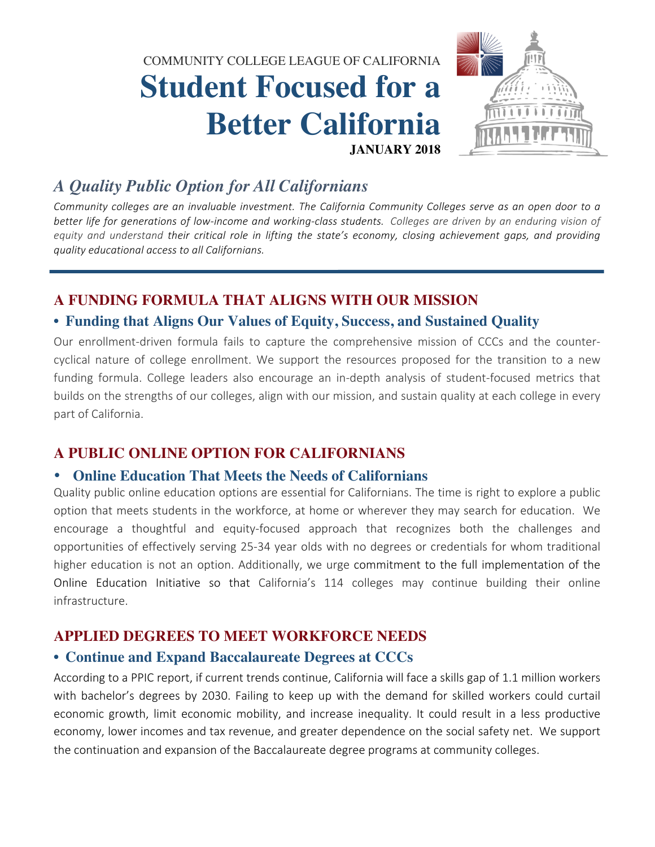COMMUNITY COLLEGE LEAGUE OF CALIFORNIA

# **Student Focused for a Better California JANUARY 2018**



## *A Quality Public Option for All Californians*

*Community* colleges are an *invaluable investment.* The California Community Colleges serve as an open door to a *better life for generations of low-income and working-class students. Colleges are driven by an enduring vision of* equity and understand their critical role in lifting the state's economy, closing achievement gaps, and providing *quality educational access to all Californians.*

## **A FUNDING FORMULA THAT ALIGNS WITH OUR MISSION**

## • **Funding that Aligns Our Values of Equity, Success, and Sustained Quality**

Our enrollment-driven formula fails to capture the comprehensive mission of CCCs and the countercyclical nature of college enrollment. We support the resources proposed for the transition to a new funding formula. College leaders also encourage an in-depth analysis of student-focused metrics that builds on the strengths of our colleges, align with our mission, and sustain quality at each college in every part of California.

## **A PUBLIC ONLINE OPTION FOR CALIFORNIANS**

#### • **Online Education That Meets the Needs of Californians**

Quality public online education options are essential for Californians. The time is right to explore a public option that meets students in the workforce, at home or wherever they may search for education. We encourage a thoughtful and equity-focused approach that recognizes both the challenges and opportunities of effectively serving 25-34 year olds with no degrees or credentials for whom traditional higher education is not an option. Additionally, we urge commitment to the full implementation of the Online Education Initiative so that California's 114 colleges may continue building their online infrastructure.

## **APPLIED DEGREES TO MEET WORKFORCE NEEDS**

#### • **Continue and Expand Baccalaureate Degrees at CCCs**

According to a PPIC report, if current trends continue, California will face a skills gap of 1.1 million workers with bachelor's degrees by 2030. Failing to keep up with the demand for skilled workers could curtail economic growth, limit economic mobility, and increase inequality. It could result in a less productive economy, lower incomes and tax revenue, and greater dependence on the social safety net. We support the continuation and expansion of the Baccalaureate degree programs at community colleges.